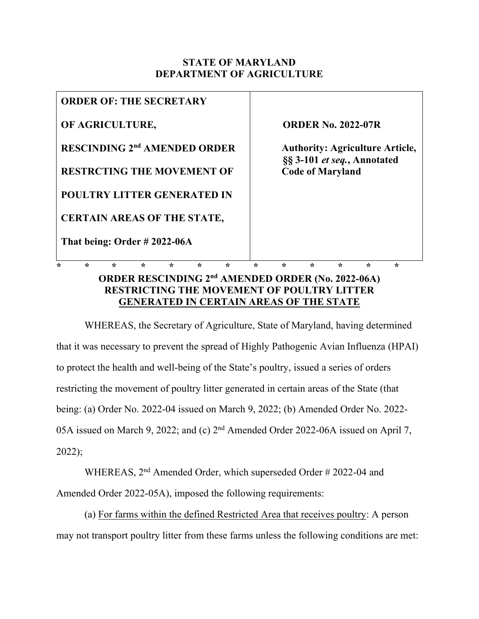## **STATE OF MARYLAND DEPARTMENT OF AGRICULTURE**

|                                                |         | <b>ORDER OF: THE SECRETARY</b>                                |         |         |         |         |         |                                                                                                                               |         |         |         |   |  |
|------------------------------------------------|---------|---------------------------------------------------------------|---------|---------|---------|---------|---------|-------------------------------------------------------------------------------------------------------------------------------|---------|---------|---------|---|--|
| OF AGRICULTURE,                                |         |                                                               |         |         |         |         |         | <b>ORDER No. 2022-07R</b><br><b>Authority: Agriculture Article,</b><br>§§ 3-101 et seq., Annotated<br><b>Code of Maryland</b> |         |         |         |   |  |
| <b>RESCINDING 2<sup>nd</sup> AMENDED ORDER</b> |         |                                                               |         |         |         |         |         |                                                                                                                               |         |         |         |   |  |
| <b>RESTRCTING THE MOVEMENT OF</b>              |         |                                                               |         |         |         |         |         |                                                                                                                               |         |         |         |   |  |
| <b>POULTRY LITTER GENERATED IN</b>             |         |                                                               |         |         |         |         |         |                                                                                                                               |         |         |         |   |  |
|                                                |         | <b>CERTAIN AREAS OF THE STATE,</b>                            |         |         |         |         |         |                                                                                                                               |         |         |         |   |  |
|                                                |         | That being: Order #2022-06A                                   |         |         |         |         |         |                                                                                                                               |         |         |         |   |  |
| ÷                                              | $\star$ |                                                               | $\star$ | $\star$ | $\star$ | $\star$ | $\star$ | $\star$                                                                                                                       | $\star$ | $\star$ | $\star$ | ÷ |  |
|                                                |         | ORDER RESCINDING 2 <sup>nd</sup> AMENDED ORDER (No. 2022-06A) |         |         |         |         |         | DESTDICTING THE MOVEMENT OF DOUL TDV I ITTED                                                                                  |         |         |         |   |  |

## **RESTRICTING THE MOVEMENT OF POULTRY LITTER GENERATED IN CERTAIN AREAS OF THE STATE**

WHEREAS, the Secretary of Agriculture, State of Maryland, having determined that it was necessary to prevent the spread of Highly Pathogenic Avian Influenza (HPAI) to protect the health and well-being of the State's poultry, issued a series of orders restricting the movement of poultry litter generated in certain areas of the State (that being: (a) Order No. 2022-04 issued on March 9, 2022; (b) Amended Order No. 2022- 05A issued on March 9, 2022; and (c) 2<sup>nd</sup> Amended Order 2022-06A issued on April 7, 2022);

WHEREAS, 2nd Amended Order, which superseded Order # 2022-04 and Amended Order 2022-05A), imposed the following requirements:

(a) For farms within the defined Restricted Area that receives poultry: A person may not transport poultry litter from these farms unless the following conditions are met: